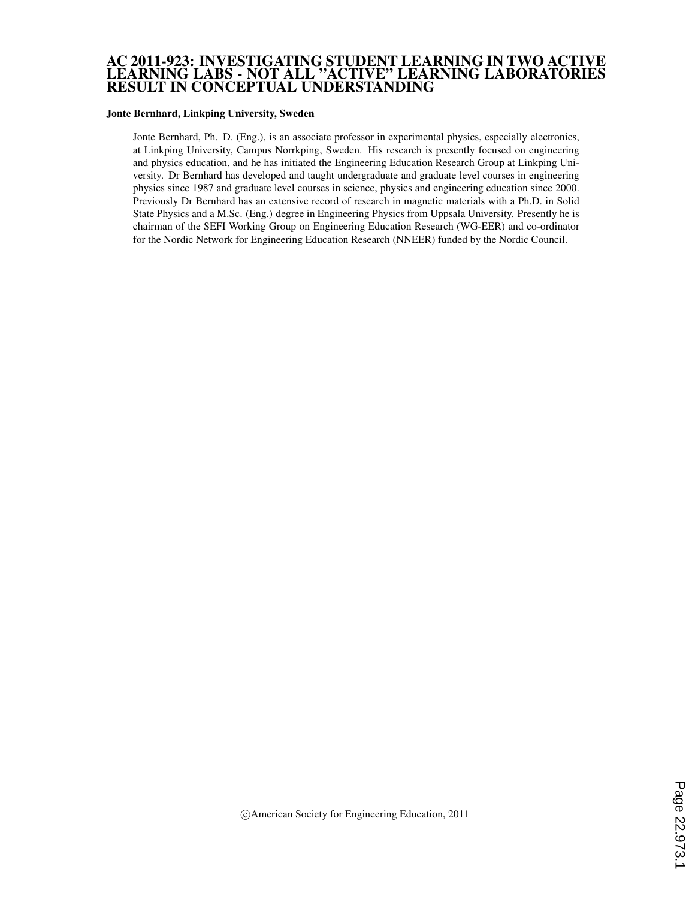#### AC 2011-923: INVESTIGATING STUDENT LEARNING IN TWO ACTIVE LEARNING LABS - NOT ALL "ACTIVE" LEARNING LABORATORIES RESULT IN CONCEPTUAL UNDERSTANDING

#### Jonte Bernhard, Linkping University, Sweden

Jonte Bernhard, Ph. D. (Eng.), is an associate professor in experimental physics, especially electronics, at Linkping University, Campus Norrkping, Sweden. His research is presently focused on engineering and physics education, and he has initiated the Engineering Education Research Group at Linkping University. Dr Bernhard has developed and taught undergraduate and graduate level courses in engineering physics since 1987 and graduate level courses in science, physics and engineering education since 2000. Previously Dr Bernhard has an extensive record of research in magnetic materials with a Ph.D. in Solid State Physics and a M.Sc. (Eng.) degree in Engineering Physics from Uppsala University. Presently he is chairman of the SEFI Working Group on Engineering Education Research (WG-EER) and co-ordinator for the Nordic Network for Engineering Education Research (NNEER) funded by the Nordic Council.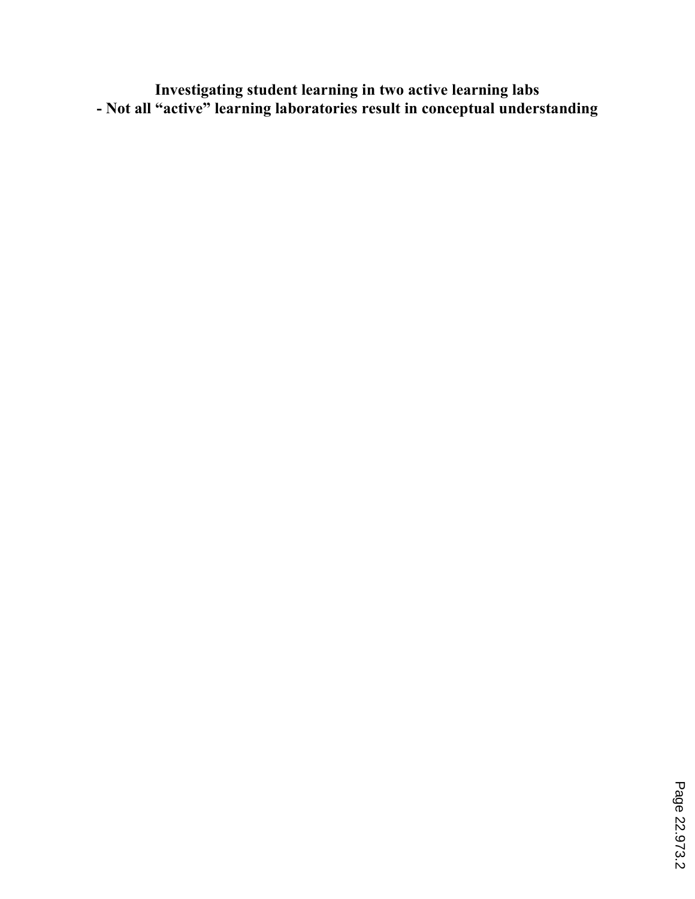**Investigating student learning in two active learning labs - Not all "active" learning laboratories result in conceptual understanding**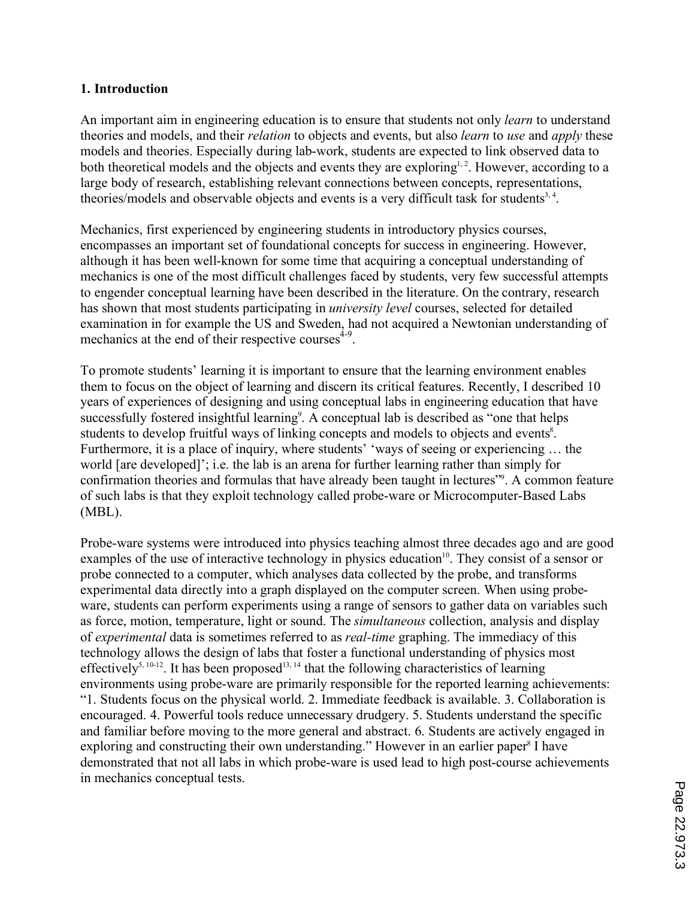## **1. Introduction**

An important aim in engineering education is to ensure that students not only *learn* to understand theories and models, and their *relation* to objects and events, but also *learn* to *use* and *apply* these models and theories. Especially during lab-work, students are expected to link observed data to both theoretical models and the objects and events they are exploring<sup>1,2</sup>. However, according to a large body of research, establishing relevant connections between concepts, representations, theories/models and observable objects and events is a very difficult task for students<sup>3, 4</sup>.

Mechanics, first experienced by engineering students in introductory physics courses, encompasses an important set of foundational concepts for success in engineering. However, although it has been well-known for some time that acquiring a conceptual understanding of mechanics is one of the most difficult challenges faced by students, very few successful attempts to engender conceptual learning have been described in the literature. On the contrary, research has shown that most students participating in *university level* courses, selected for detailed examination in for example the US and Sweden, had not acquired a Newtonian understanding of mechanics at the end of their respective courses<sup>4-9</sup>.

To promote students' learning it is important to ensure that the learning environment enables them to focus on the object of learning and discern its critical features. Recently, I described 10 years of experiences of designing and using conceptual labs in engineering education that have successfully fostered insightful learning<sup>9</sup>. A conceptual lab is described as "one that helps students to develop fruitful ways of linking concepts and models to objects and events<sup>8</sup>. Furthermore, it is a place of inquiry, where students' 'ways of seeing or experiencing … the world [are developed]'; i.e. the lab is an arena for further learning rather than simply for confirmation theories and formulas that have already been taught in lectures"<sup>9</sup>. A common feature of such labs is that they exploit technology called probe-ware or Microcomputer-Based Labs (MBL).

Probe-ware systems were introduced into physics teaching almost three decades ago and are good examples of the use of interactive technology in physics education<sup>10</sup>. They consist of a sensor or probe connected to a computer, which analyses data collected by the probe, and transforms experimental data directly into a graph displayed on the computer screen. When using probeware, students can perform experiments using a range of sensors to gather data on variables such as force, motion, temperature, light or sound. The *simultaneous* collection, analysis and display of *experimental* data is sometimes referred to as *real-time* graphing. The immediacy of this technology allows the design of labs that foster a functional understanding of physics most effectively<sup>5, 10-12</sup>. It has been proposed<sup>13, 14</sup> that the following characteristics of learning environments using probe-ware are primarily responsible for the reported learning achievements: "1. Students focus on the physical world. 2. Immediate feedback is available. 3. Collaboration is encouraged. 4. Powerful tools reduce unnecessary drudgery. 5. Students understand the specific and familiar before moving to the more general and abstract. 6. Students are actively engaged in exploring and constructing their own understanding." However in an earlier paper<sup>8</sup> I have demonstrated that not all labs in which probe-ware is used lead to high post-course achievements in mechanics conceptual tests.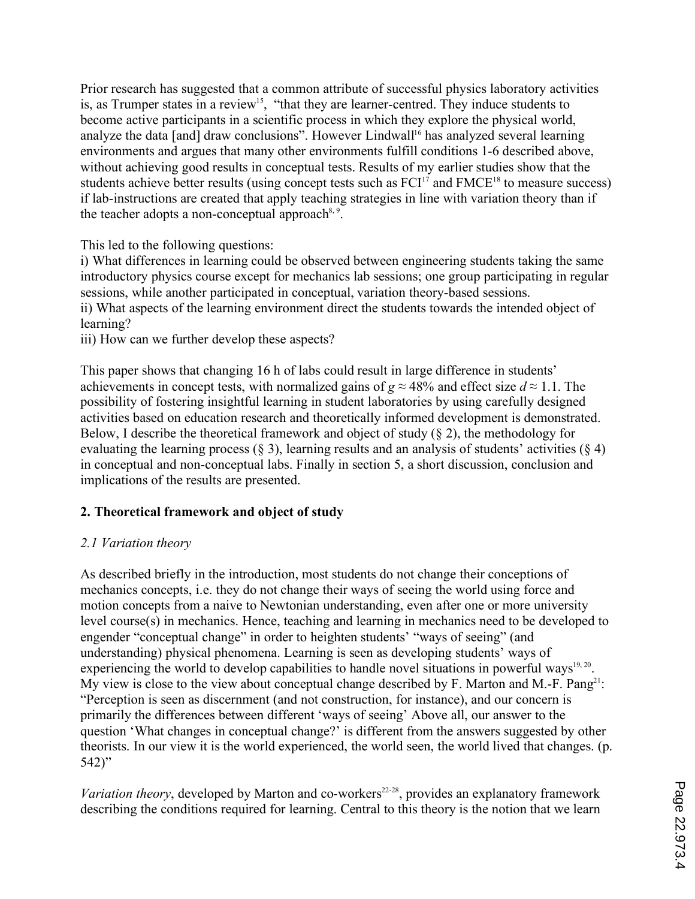Prior research has suggested that a common attribute of successful physics laboratory activities is, as Trumper states in a review<sup>15</sup>, "that they are learner-centred. They induce students to become active participants in a scientific process in which they explore the physical world, analyze the data [and] draw conclusions". However Lindwall<sup>16</sup> has analyzed several learning environments and argues that many other environments fulfill conditions 1-6 described above, without achieving good results in conceptual tests. Results of my earlier studies show that the students achieve better results (using concept tests such as  $FCI<sup>17</sup>$  and  $FMCE<sup>18</sup>$  to measure success) if lab-instructions are created that apply teaching strategies in line with variation theory than if the teacher adopts a non-conceptual approach<sup>8, 9</sup>.

This led to the following questions:

i) What differences in learning could be observed between engineering students taking the same introductory physics course except for mechanics lab sessions; one group participating in regular sessions, while another participated in conceptual, variation theory-based sessions. ii) What aspects of the learning environment direct the students towards the intended object of learning?

iii) How can we further develop these aspects?

This paper shows that changing 16 h of labs could result in large difference in students' achievements in concept tests, with normalized gains of  $g \approx 48\%$  and effect size  $d \approx 1.1$ . The possibility of fostering insightful learning in student laboratories by using carefully designed activities based on education research and theoretically informed development is demonstrated. Below, I describe the theoretical framework and object of study  $(\S 2)$ , the methodology for evaluating the learning process  $(\S 3)$ , learning results and an analysis of students' activities  $(\S 4)$ in conceptual and non-conceptual labs. Finally in section 5, a short discussion, conclusion and implications of the results are presented.

# **2. Theoretical framework and object of study**

## *2.1 Variation theory*

As described briefly in the introduction, most students do not change their conceptions of mechanics concepts, i.e. they do not change their ways of seeing the world using force and motion concepts from a naive to Newtonian understanding, even after one or more university level course(s) in mechanics. Hence, teaching and learning in mechanics need to be developed to engender "conceptual change" in order to heighten students' "ways of seeing" (and understanding) physical phenomena. Learning is seen as developing students' ways of experiencing the world to develop capabilities to handle novel situations in powerful ways<sup>19, 20</sup>. My view is close to the view about conceptual change described by F. Marton and M.-F. Pang<sup>21</sup>: "Perception is seen as discernment (and not construction, for instance), and our concern is primarily the differences between different 'ways of seeing' Above all, our answer to the question 'What changes in conceptual change?' is different from the answers suggested by other theorists. In our view it is the world experienced, the world seen, the world lived that changes. (p. 542)"

*Variation theory*, developed by Marton and co-workers<sup>22-28</sup>, provides an explanatory framework describing the conditions required for learning. Central to this theory is the notion that we learn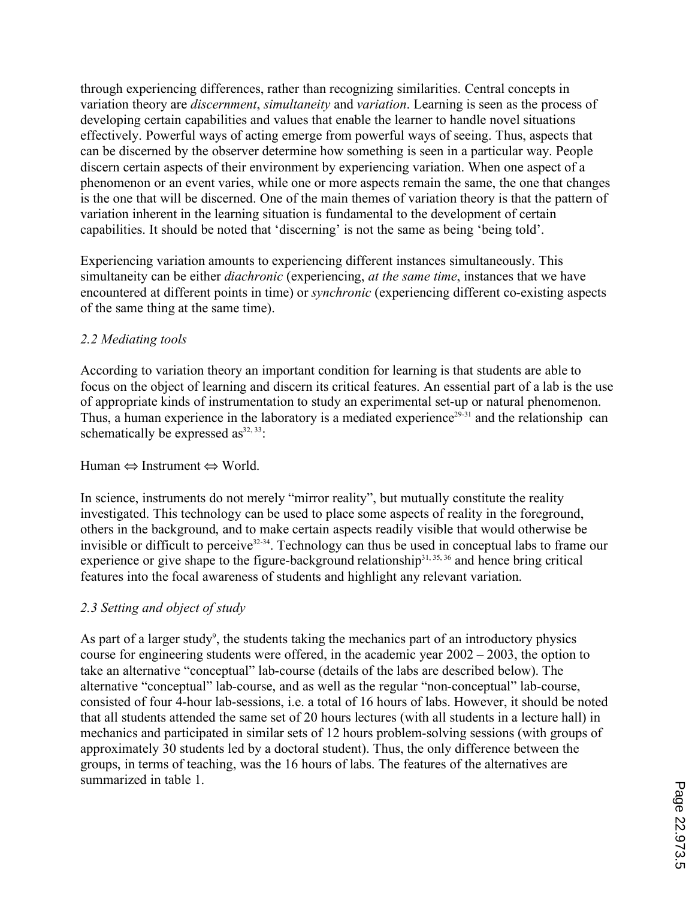through experiencing differences, rather than recognizing similarities. Central concepts in variation theory are *discernment*, *simultaneity* and *variation*. Learning is seen as the process of developing certain capabilities and values that enable the learner to handle novel situations effectively. Powerful ways of acting emerge from powerful ways of seeing. Thus, aspects that can be discerned by the observer determine how something is seen in a particular way. People discern certain aspects of their environment by experiencing variation. When one aspect of a phenomenon or an event varies, while one or more aspects remain the same, the one that changes is the one that will be discerned. One of the main themes of variation theory is that the pattern of variation inherent in the learning situation is fundamental to the development of certain capabilities. It should be noted that 'discerning' is not the same as being 'being told'.

Experiencing variation amounts to experiencing different instances simultaneously. This simultaneity can be either *diachronic* (experiencing, *at the same time*, instances that we have encountered at different points in time) or *synchronic* (experiencing different co-existing aspects of the same thing at the same time).

## *2.2 Mediating tools*

According to variation theory an important condition for learning is that students are able to focus on the object of learning and discern its critical features. An essential part of a lab is the use of appropriate kinds of instrumentation to study an experimental set-up or natural phenomenon. Thus, a human experience in the laboratory is a mediated experience<sup>29-31</sup> and the relationship can schematically be expressed as $32, 33$ :

Human ⇔ Instrument ⇔ World.

In science, instruments do not merely "mirror reality", but mutually constitute the reality investigated. This technology can be used to place some aspects of reality in the foreground, others in the background, and to make certain aspects readily visible that would otherwise be invisible or difficult to perceive<sup>32-34</sup>. Technology can thus be used in conceptual labs to frame our experience or give shape to the figure-background relationship<sup>31, 35, 36</sup> and hence bring critical features into the focal awareness of students and highlight any relevant variation.

# *2.3 Setting and object of study*

As part of a larger study<sup>9</sup>, the students taking the mechanics part of an introductory physics course for engineering students were offered, in the academic year 2002 – 2003, the option to take an alternative "conceptual" lab-course (details of the labs are described below). The alternative "conceptual" lab-course, and as well as the regular "non-conceptual" lab-course, consisted of four 4-hour lab-sessions, i.e. a total of 16 hours of labs. However, it should be noted that all students attended the same set of 20 hours lectures (with all students in a lecture hall) in mechanics and participated in similar sets of 12 hours problem-solving sessions (with groups of approximately 30 students led by a doctoral student). Thus, the only difference between the groups, in terms of teaching, was the 16 hours of labs. The features of the alternatives are summarized in table 1.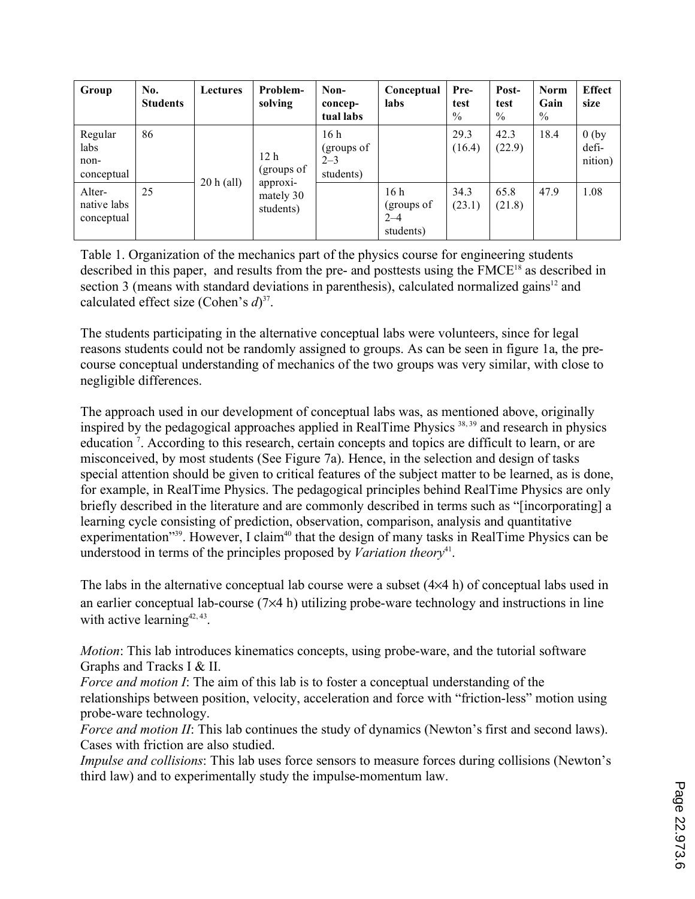| Group                                 | No.<br><b>Students</b> | <b>Lectures</b> | Problem-<br>solving                | Non-<br>concep-<br>tual labs              | Conceptual<br>labs                                    | Pre-<br>test<br>$\%$ | Post-<br>test<br>$\%$ | <b>Norm</b><br>Gain<br>$\%$ | <b>Effect</b><br>size       |
|---------------------------------------|------------------------|-----------------|------------------------------------|-------------------------------------------|-------------------------------------------------------|----------------------|-----------------------|-----------------------------|-----------------------------|
| Regular<br>labs<br>non-<br>conceptual | 86                     |                 | 12 <sub>h</sub><br>(groups of      | 16h<br>(groups of<br>$2 - 3$<br>students) |                                                       | 29.3<br>(16.4)       | 42.3<br>(22.9)        | 18.4                        | $0$ (by<br>defi-<br>nition) |
| Alter-<br>native labs<br>conceptual   | 25                     | $20 h$ (all)    | approxi-<br>mately 30<br>students) |                                           | 16 <sub>h</sub><br>(groups of<br>$2 - 4$<br>students) | 34.3<br>(23.1)       | 65.8<br>(21.8)        | 47.9                        | 1.08                        |

Table 1. Organization of the mechanics part of the physics course for engineering students described in this paper, and results from the pre- and posttests using the FMCE<sup>18</sup> as described in section 3 (means with standard deviations in parenthesis), calculated normalized gains $12$  and calculated effect size (Cohen's *d*) 37.

The students participating in the alternative conceptual labs were volunteers, since for legal reasons students could not be randomly assigned to groups. As can be seen in figure 1a, the precourse conceptual understanding of mechanics of the two groups was very similar, with close to negligible differences.

The approach used in our development of conceptual labs was, as mentioned above, originally inspired by the pedagogical approaches applied in RealTime Physics  $38,39$  and research in physics education<sup>7</sup>. According to this research, certain concepts and topics are difficult to learn, or are misconceived, by most students (See Figure 7a). Hence, in the selection and design of tasks special attention should be given to critical features of the subject matter to be learned, as is done, for example, in RealTime Physics. The pedagogical principles behind RealTime Physics are only briefly described in the literature and are commonly described in terms such as "[incorporating] a learning cycle consisting of prediction, observation, comparison, analysis and quantitative experimentation<sup>"39</sup>. However, I claim<sup>40</sup> that the design of many tasks in RealTime Physics can be understood in terms of the principles proposed by *Variation theory*<sup>41</sup>.

The labs in the alternative conceptual lab course were a subset (4×4 h) of conceptual labs used in an earlier conceptual lab-course (7×4 h) utilizing probe-ware technology and instructions in line with active learning<sup>42, 43</sup>.

*Motion*: This lab introduces kinematics concepts, using probe-ware, and the tutorial software Graphs and Tracks I & II.

*Force and motion I*: The aim of this lab is to foster a conceptual understanding of the relationships between position, velocity, acceleration and force with "friction-less" motion using probe-ware technology.

*Force and motion II*: This lab continues the study of dynamics (Newton's first and second laws). Cases with friction are also studied.

*Impulse and collisions*: This lab uses force sensors to measure forces during collisions (Newton's third law) and to experimentally study the impulse-momentum law.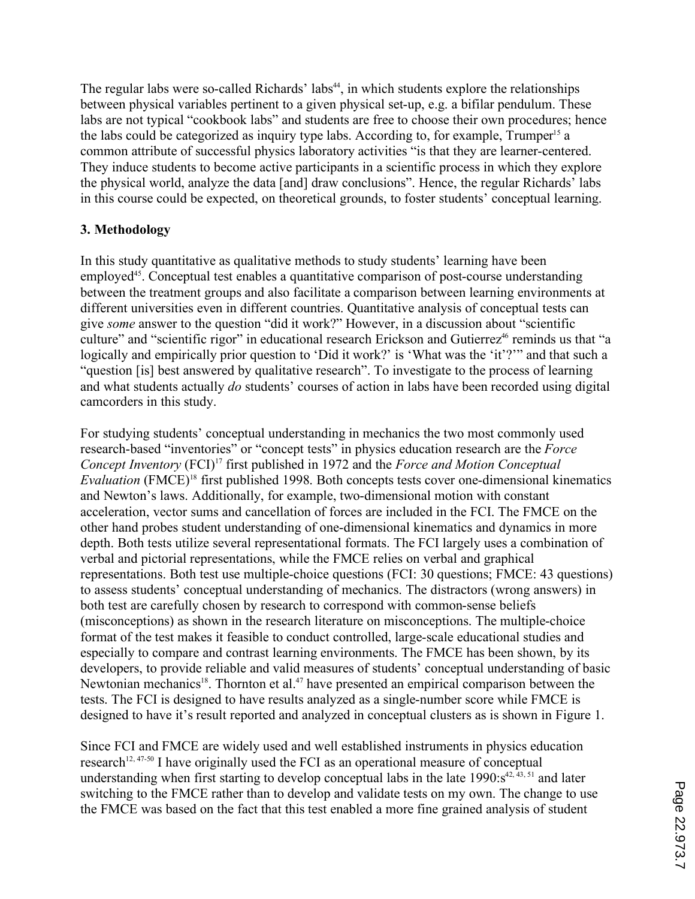The regular labs were so-called Richards' labs<sup>44</sup>, in which students explore the relationships between physical variables pertinent to a given physical set-up, e.g. a bifilar pendulum. These labs are not typical "cookbook labs" and students are free to choose their own procedures; hence the labs could be categorized as inquiry type labs. According to, for example,  $Trumper<sup>15</sup>$  a common attribute of successful physics laboratory activities "is that they are learner-centered. They induce students to become active participants in a scientific process in which they explore the physical world, analyze the data [and] draw conclusions". Hence, the regular Richards' labs in this course could be expected, on theoretical grounds, to foster students' conceptual learning.

## **3. Methodology**

In this study quantitative as qualitative methods to study students' learning have been employed<sup>45</sup>. Conceptual test enables a quantitative comparison of post-course understanding between the treatment groups and also facilitate a comparison between learning environments at different universities even in different countries. Quantitative analysis of conceptual tests can give *some* answer to the question "did it work?" However, in a discussion about "scientific culture" and "scientific rigor" in educational research Erickson and Gutierrez<sup>46</sup> reminds us that "a logically and empirically prior question to 'Did it work?' is 'What was the 'it'?'" and that such a "question [is] best answered by qualitative research". To investigate to the process of learning and what students actually *do* students' courses of action in labs have been recorded using digital camcorders in this study.

For studying students' conceptual understanding in mechanics the two most commonly used research-based "inventories" or "concept tests" in physics education research are the *Force Concept Inventory* (FCI)<sup>17</sup> first published in 1972 and the *Force and Motion Conceptual Evaluation* (FMCE)<sup>18</sup> first published 1998. Both concepts tests cover one-dimensional kinematics and Newton's laws. Additionally, for example, two-dimensional motion with constant acceleration, vector sums and cancellation of forces are included in the FCI. The FMCE on the other hand probes student understanding of one-dimensional kinematics and dynamics in more depth. Both tests utilize several representational formats. The FCI largely uses a combination of verbal and pictorial representations, while the FMCE relies on verbal and graphical representations. Both test use multiple-choice questions (FCI: 30 questions; FMCE: 43 questions) to assess students' conceptual understanding of mechanics. The distractors (wrong answers) in both test are carefully chosen by research to correspond with common-sense beliefs (misconceptions) as shown in the research literature on misconceptions. The multiple-choice format of the test makes it feasible to conduct controlled, large-scale educational studies and especially to compare and contrast learning environments. The FMCE has been shown, by its developers, to provide reliable and valid measures of students' conceptual understanding of basic Newtonian mechanics<sup>18</sup>. Thornton et al.<sup>47</sup> have presented an empirical comparison between the tests. The FCI is designed to have results analyzed as a single-number score while FMCE is designed to have it's result reported and analyzed in conceptual clusters as is shown in Figure 1.

Since FCI and FMCE are widely used and well established instruments in physics education research<sup>12, 47-50</sup> I have originally used the FCI as an operational measure of conceptual understanding when first starting to develop conceptual labs in the late  $1990:s^{42,43,51}$  and later switching to the FMCE rather than to develop and validate tests on my own. The change to use the FMCE was based on the fact that this test enabled a more fine grained analysis of student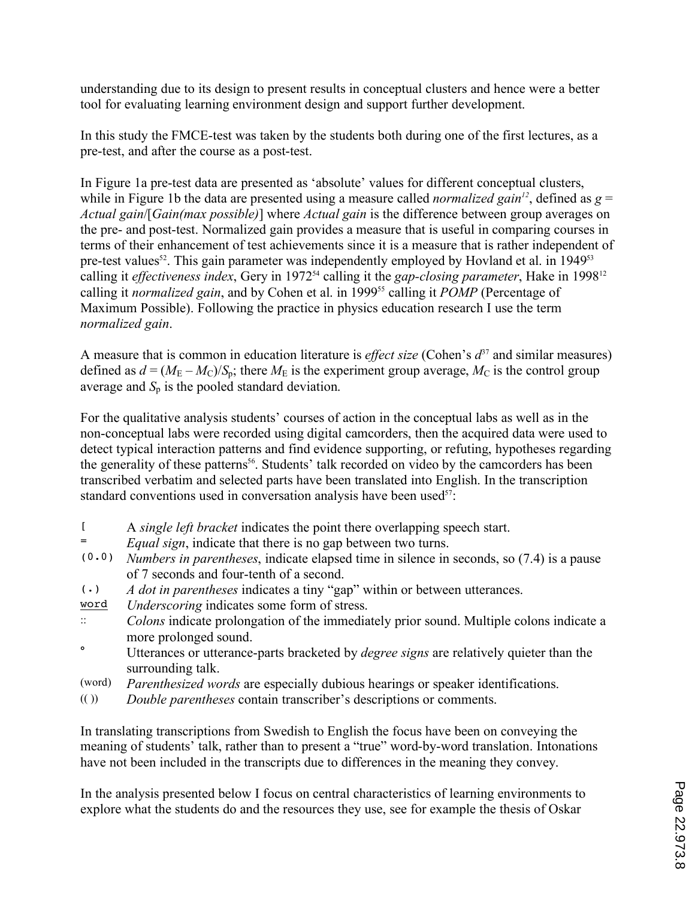understanding due to its design to present results in conceptual clusters and hence were a better tool for evaluating learning environment design and support further development.

In this study the FMCE-test was taken by the students both during one of the first lectures, as a pre-test, and after the course as a post-test.

In Figure 1a pre-test data are presented as 'absolute' values for different conceptual clusters, while in Figure 1b the data are presented using a measure called *normalized gain*<sup>12</sup>, defined as  $g =$ *Actual gain*/[*Gain(max possible)*] where *Actual gain* is the difference between group averages on the pre- and post-test. Normalized gain provides a measure that is useful in comparing courses in terms of their enhancement of test achievements since it is a measure that is rather independent of pre-test values<sup>52</sup>. This gain parameter was independently employed by Hovland et al. in  $1949^{53}$ calling it *effectiveness index*, Gery in 1972<sup>54</sup> calling it the *gap-closing parameter*, Hake in 1998<sup>12</sup> calling it *normalized gain*, and by Cohen et al. in 1999<sup>55</sup> calling it *POMP* (Percentage of Maximum Possible). Following the practice in physics education research I use the term *normalized gain*.

A measure that is common in education literature is *effect size* (Cohen's  $d^{37}$  and similar measures) defined as  $d = (M_E - M_C)/S_p$ ; there  $M_E$  is the experiment group average,  $M_C$  is the control group average and  $S_p$  is the pooled standard deviation.

For the qualitative analysis students' courses of action in the conceptual labs as well as in the non-conceptual labs were recorded using digital camcorders, then the acquired data were used to detect typical interaction patterns and find evidence supporting, or refuting, hypotheses regarding the generality of these patterns<sup>56</sup>. Students' talk recorded on video by the camcorders has been transcribed verbatim and selected parts have been translated into English. In the transcription standard conventions used in conversation analysis have been used<sup>57</sup>:

- [ A *single left bracket* indicates the point there overlapping speech start.
- <sup>=</sup> *Equal sign*, indicate that there is no gap between two turns.<br>(0.0) *Numbers in parentheses*, indicate elapsed time in silence in
- (0.0) *Numbers in parentheses*, indicate elapsed time in silence in seconds, so (7.4) is a pause of 7 seconds and four-tenth of a second.
- (.) *A dot in parentheses* indicates a tiny "gap" within or between utterances.
- word *Underscoring* indicates some form of stress.
- :: *Colons* indicate prolongation of the immediately prior sound. Multiple colons indicate a more prolonged sound.
- ° Utterances or utterance-parts bracketed by *degree signs* are relatively quieter than the surrounding talk.
- (word) *Parenthesized words* are especially dubious hearings or speaker identifications.
- (( )) *Double parentheses* contain transcriber's descriptions or comments.

In translating transcriptions from Swedish to English the focus have been on conveying the meaning of students' talk, rather than to present a "true" word-by-word translation. Intonations have not been included in the transcripts due to differences in the meaning they convey.

In the analysis presented below I focus on central characteristics of learning environments to explore what the students do and the resources they use, see for example the thesis of Oskar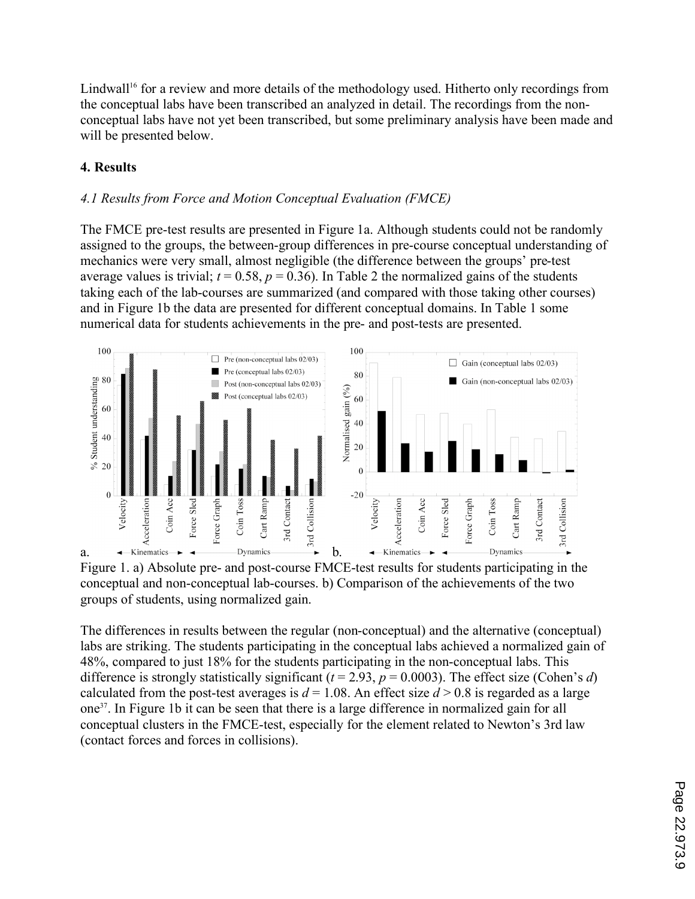Lindwall<sup>16</sup> for a review and more details of the methodology used. Hitherto only recordings from the conceptual labs have been transcribed an analyzed in detail. The recordings from the nonconceptual labs have not yet been transcribed, but some preliminary analysis have been made and will be presented below.

# **4. Results**

## *4.1 Results from Force and Motion Conceptual Evaluation (FMCE)*

The FMCE pre-test results are presented in Figure 1a. Although students could not be randomly assigned to the groups, the between-group differences in pre-course conceptual understanding of mechanics were very small, almost negligible (the difference between the groups' pre-test average values is trivial;  $t = 0.58$ ,  $p = 0.36$ ). In Table 2 the normalized gains of the students taking each of the lab-courses are summarized (and compared with those taking other courses) and in Figure 1b the data are presented for different conceptual domains. In Table 1 some numerical data for students achievements in the pre- and post-tests are presented.





The differences in results between the regular (non-conceptual) and the alternative (conceptual) labs are striking. The students participating in the conceptual labs achieved a normalized gain of 48%, compared to just 18% for the students participating in the non-conceptual labs. This difference is strongly statistically significant  $(t = 2.93, p = 0.0003)$ . The effect size (Cohen's *d*) calculated from the post-test averages is  $d = 1.08$ . An effect size  $d > 0.8$  is regarded as a large one37. In Figure 1b it can be seen that there is a large difference in normalized gain for all conceptual clusters in the FMCE-test, especially for the element related to Newton's 3rd law (contact forces and forces in collisions).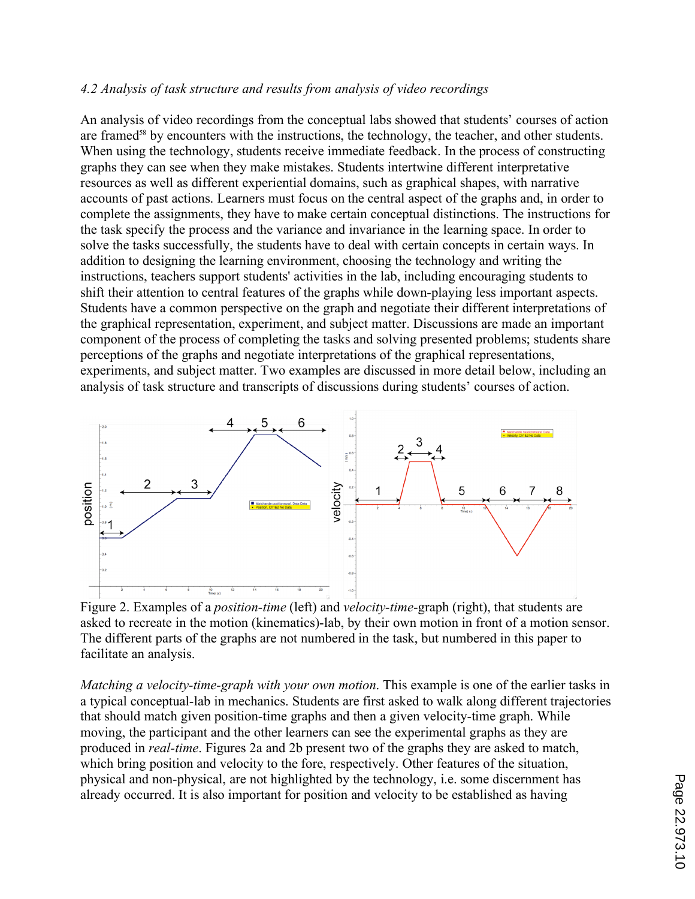## *4.2 Analysis of task structure and results from analysis of video recordings*

An analysis of video recordings from the conceptual labs showed that students' courses of action are framed<sup>58</sup> by encounters with the instructions, the technology, the teacher, and other students. When using the technology, students receive immediate feedback. In the process of constructing graphs they can see when they make mistakes. Students intertwine different interpretative resources as well as different experiential domains, such as graphical shapes, with narrative accounts of past actions. Learners must focus on the central aspect of the graphs and, in order to complete the assignments, they have to make certain conceptual distinctions. The instructions for the task specify the process and the variance and invariance in the learning space. In order to solve the tasks successfully, the students have to deal with certain concepts in certain ways. In addition to designing the learning environment, choosing the technology and writing the instructions, teachers support students' activities in the lab, including encouraging students to shift their attention to central features of the graphs while down-playing less important aspects. Students have a common perspective on the graph and negotiate their different interpretations of the graphical representation, experiment, and subject matter. Discussions are made an important component of the process of completing the tasks and solving presented problems; students share perceptions of the graphs and negotiate interpretations of the graphical representations, experiments, and subject matter. Two examples are discussed in more detail below, including an analysis of task structure and transcripts of discussions during students' courses of action.



Figure 2. Examples of a *position-time* (left) and *velocity-time*-graph (right), that students are asked to recreate in the motion (kinematics)-lab, by their own motion in front of a motion sensor. The different parts of the graphs are not numbered in the task, but numbered in this paper to facilitate an analysis.

*Matching a velocity-time-graph with your own motion*. This example is one of the earlier tasks in a typical conceptual-lab in mechanics. Students are first asked to walk along different trajectories that should match given position-time graphs and then a given velocity-time graph. While moving, the participant and the other learners can see the experimental graphs as they are produced in *real-time*. Figures 2a and 2b present two of the graphs they are asked to match, which bring position and velocity to the fore, respectively. Other features of the situation, physical and non-physical, are not highlighted by the technology, i.e. some discernment has already occurred. It is also important for position and velocity to be established as having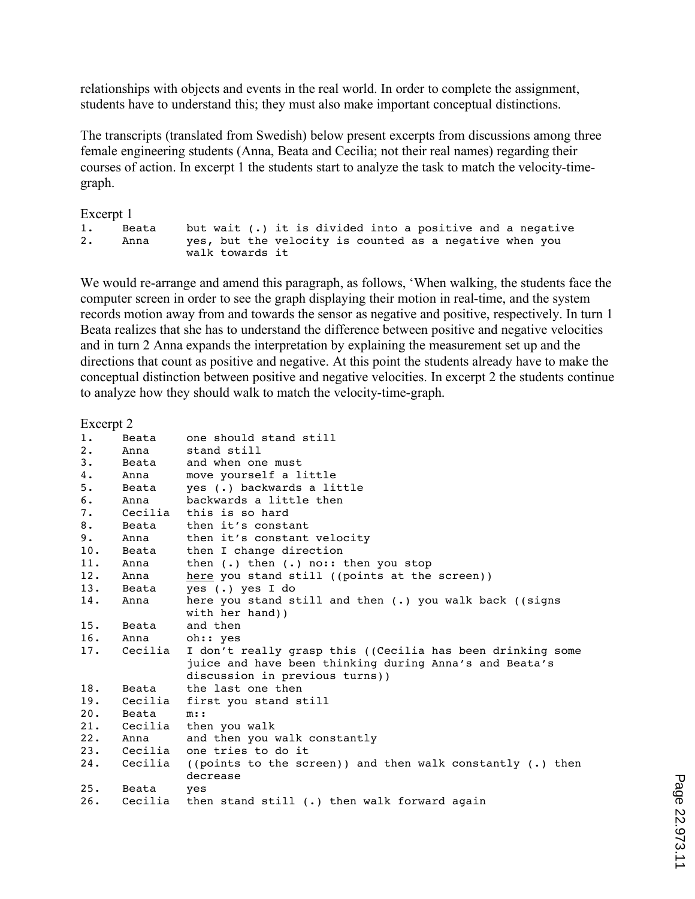relationships with objects and events in the real world. In order to complete the assignment, students have to understand this; they must also make important conceptual distinctions.

The transcripts (translated from Swedish) below present excerpts from discussions among three female engineering students (Anna, Beata and Cecilia; not their real names) regarding their courses of action. In excerpt 1 the students start to analyze the task to match the velocity-timegraph.

Excerpt 1

| 1. | Beata |                                                         |  |  |  |  |  |  | but wait (.) it is divided into a positive and a negative |
|----|-------|---------------------------------------------------------|--|--|--|--|--|--|-----------------------------------------------------------|
| 2. | Anna  | ves, but the velocity is counted as a negative when you |  |  |  |  |  |  |                                                           |
|    |       | walk towards it                                         |  |  |  |  |  |  |                                                           |

We would re-arrange and amend this paragraph, as follows, 'When walking, the students face the computer screen in order to see the graph displaying their motion in real-time, and the system records motion away from and towards the sensor as negative and positive, respectively. In turn 1 Beata realizes that she has to understand the difference between positive and negative velocities and in turn 2 Anna expands the interpretation by explaining the measurement set up and the directions that count as positive and negative. At this point the students already have to make the conceptual distinction between positive and negative velocities. In excerpt 2 the students continue to analyze how they should walk to match the velocity-time-graph.

#### Excerpt 2

| 1.  | Beata   | one should stand still                                                   |
|-----|---------|--------------------------------------------------------------------------|
| 2.  | Anna    | stand still                                                              |
| 3.  | Beata   | and when one must                                                        |
| 4.  | Anna    | move yourself a little                                                   |
| 5.  | Beata   | yes (.) backwards a little                                               |
| 6.  | Anna    | backwards a little then                                                  |
| 7.  | Cecilia | this is so hard                                                          |
| 8.  | Beata   | then it's constant                                                       |
| 9.  | Anna    | then it's constant velocity                                              |
| 10. | Beata   | then I change direction                                                  |
| 11. | Anna    | then $(.)$ then $(.)$ no:: then you stop                                 |
| 12. | Anna    | here you stand still ((points at the screen))                            |
| 13. | Beata   | yes (.) yes I do                                                         |
| 14. | Anna    | here you stand still and then $(.)$ you walk back $((signs)$             |
|     |         | with her hand))                                                          |
| 15. | Beata   | and then                                                                 |
| 16. | Anna    | oh:: yes                                                                 |
| 17. | Cecilia | I don't really grasp this ((Cecilia has been drinking some               |
|     |         | juice and have been thinking during Anna's and Beata's                   |
|     |         | discussion in previous turns))                                           |
| 18. | Beata   | the last one then                                                        |
| 19. | Cecilia | first you stand still                                                    |
| 20. | Beata   | $m:$ :                                                                   |
| 21. | Cecilia | then you walk                                                            |
| 22. | Anna    | and then you walk constantly                                             |
| 23. | Cecilia | one tries to do it                                                       |
| 24. | Cecilia | ((points to the screen)) and then walk constantly $(.)$ then<br>decrease |
| 25. | Beata   | yes                                                                      |
| 26. | Cecilia | then stand still (.) then walk forward again                             |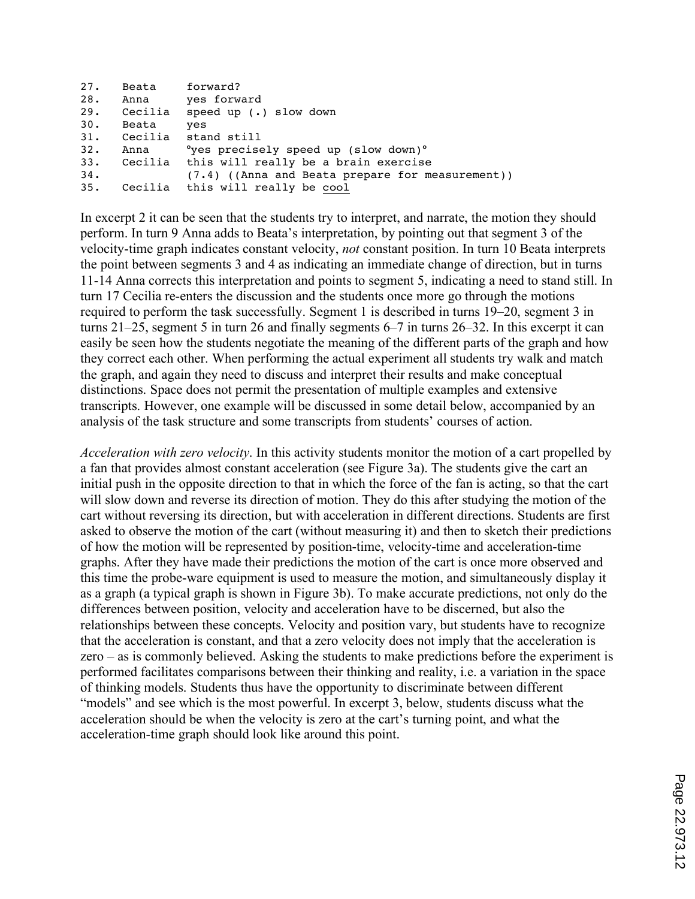```
27. Beata forward?
28. Anna yes forward<br>29. Cecilia speed up (.
     Cecilia speed up (.) slow down
30. Beata yes
31. Cecilia stand still
32. Anna °yes precisely speed up (slow down)°
33. Cecilia this will really be a brain exercise
34. (7.4) ((Anna and Beata prepare for measurement)) 
              this will really be cool
```
In excerpt 2 it can be seen that the students try to interpret, and narrate, the motion they should perform. In turn 9 Anna adds to Beata's interpretation, by pointing out that segment 3 of the velocity-time graph indicates constant velocity, *not* constant position. In turn 10 Beata interprets the point between segments 3 and 4 as indicating an immediate change of direction, but in turns 11-14 Anna corrects this interpretation and points to segment 5, indicating a need to stand still. In turn 17 Cecilia re-enters the discussion and the students once more go through the motions required to perform the task successfully. Segment 1 is described in turns 19–20, segment 3 in turns 21–25, segment 5 in turn 26 and finally segments 6–7 in turns 26–32. In this excerpt it can easily be seen how the students negotiate the meaning of the different parts of the graph and how they correct each other. When performing the actual experiment all students try walk and match the graph, and again they need to discuss and interpret their results and make conceptual distinctions. Space does not permit the presentation of multiple examples and extensive transcripts. However, one example will be discussed in some detail below, accompanied by an analysis of the task structure and some transcripts from students' courses of action.

*Acceleration with zero velocity*. In this activity students monitor the motion of a cart propelled by a fan that provides almost constant acceleration (see Figure 3a). The students give the cart an initial push in the opposite direction to that in which the force of the fan is acting, so that the cart will slow down and reverse its direction of motion. They do this after studying the motion of the cart without reversing its direction, but with acceleration in different directions. Students are first asked to observe the motion of the cart (without measuring it) and then to sketch their predictions of how the motion will be represented by position-time, velocity-time and acceleration-time graphs. After they have made their predictions the motion of the cart is once more observed and this time the probe-ware equipment is used to measure the motion, and simultaneously display it as a graph (a typical graph is shown in Figure 3b). To make accurate predictions, not only do the differences between position, velocity and acceleration have to be discerned, but also the relationships between these concepts. Velocity and position vary, but students have to recognize that the acceleration is constant, and that a zero velocity does not imply that the acceleration is zero – as is commonly believed. Asking the students to make predictions before the experiment is performed facilitates comparisons between their thinking and reality, i.e. a variation in the space of thinking models. Students thus have the opportunity to discriminate between different "models" and see which is the most powerful. In excerpt 3, below, students discuss what the acceleration should be when the velocity is zero at the cart's turning point, and what the acceleration-time graph should look like around this point.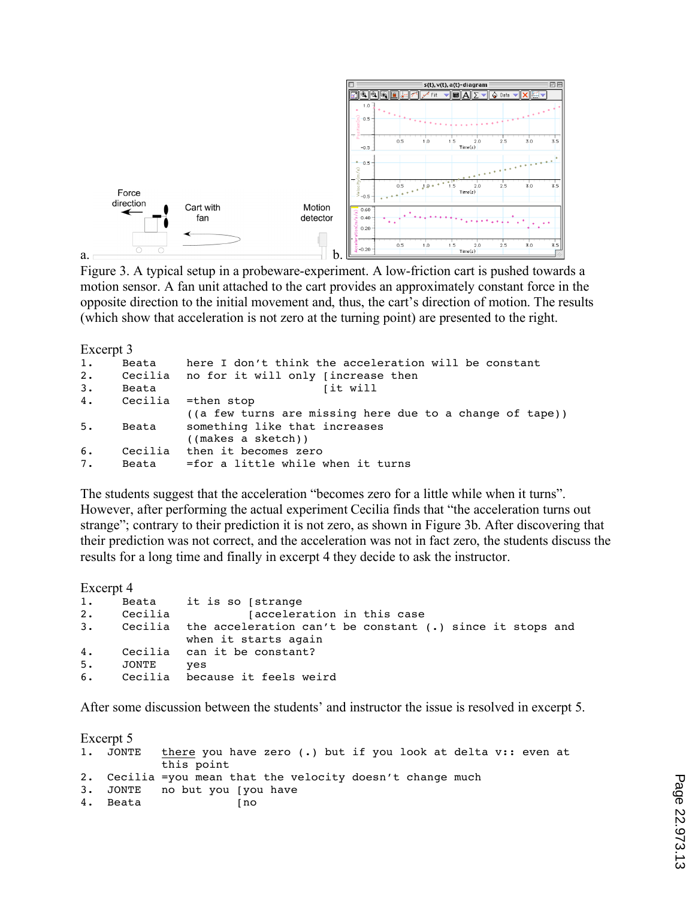

Figure 3. A typical setup in a probeware-experiment. A low-friction cart is pushed towards a motion sensor. A fan unit attached to the cart provides an approximately constant force in the opposite direction to the initial movement and, thus, the cart's direction of motion. The results (which show that acceleration is not zero at the turning point) are presented to the right.

Excerpt 3

```
1. Beata here I don't think the acceleration will be constant
2. Cecilia no for it will only [increase then
3. Beata [it will
4. Cecilia =then stop
             ((a few turns are missing here due to a change of tape))
5. Beata something like that increases
             ((makes a sketch))
6. Cecilia then it becomes zero
7. Beata =for a little while when it turns
```
The students suggest that the acceleration "becomes zero for a little while when it turns". However, after performing the actual experiment Cecilia finds that "the acceleration turns out strange"; contrary to their prediction it is not zero, as shown in Figure 3b. After discovering that their prediction was not correct, and the acceleration was not in fact zero, the students discuss the results for a long time and finally in excerpt 4 they decide to ask the instructor.

Excerpt 4

```
1. Beata it is so [strange
2. Cecilia [acceleration in this case
3. Cecilia the acceleration can't be constant (.) since it stops and 
             when it starts again 
4. Cecilia can it be constant?
5. JONTE yes
6. Cecilia because it feels weird
```
After some discussion between the students' and instructor the issue is resolved in excerpt 5.

| Excerpt 5 |                                                                                     |
|-----------|-------------------------------------------------------------------------------------|
|           | 1. JONTE there you have zero (.) but if you look at delta v:: even at<br>this point |
|           | 2. Cecilia = you mean that the velocity doesn't change much                         |
|           | 3. JONTE no but you (you have                                                       |
| 4. Beata  | l no                                                                                |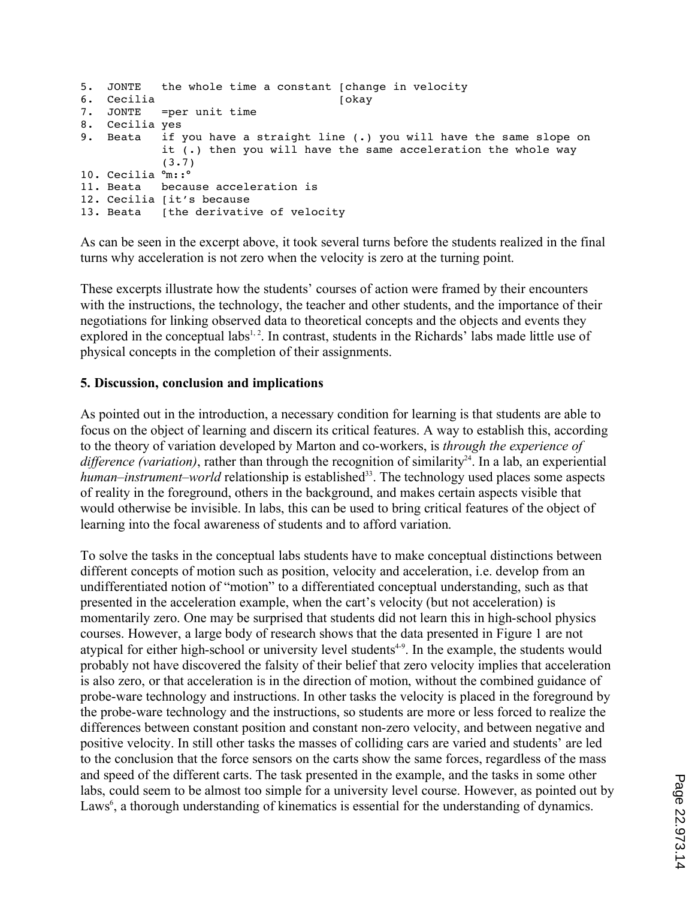```
5. JONTE the whole time a constant [change in velocity
6. Cecilia [okay
           =per unit time
8. Cecilia yes<br>9. Beata if
           if you have a straight line (.) you will have the same slope on
           it (.) then you will have the same acceleration the whole way 
           (3.7)
10. Cecilia °m::°
11. Beata because acceleration is
12. Cecilia [it's because
13. Beata [the derivative of velocity
```
As can be seen in the excerpt above, it took several turns before the students realized in the final turns why acceleration is not zero when the velocity is zero at the turning point.

These excerpts illustrate how the students' courses of action were framed by their encounters with the instructions, the technology, the teacher and other students, and the importance of their negotiations for linking observed data to theoretical concepts and the objects and events they explored in the conceptual labs<sup>1, 2</sup>. In contrast, students in the Richards' labs made little use of physical concepts in the completion of their assignments.

#### **5. Discussion, conclusion and implications**

As pointed out in the introduction, a necessary condition for learning is that students are able to focus on the object of learning and discern its critical features. A way to establish this, according to the theory of variation developed by Marton and co-workers, is *through the experience of difference (variation)*, rather than through the recognition of similarity<sup>24</sup>. In a lab, an experiential *human–instrument–world* relationship is established<sup>33</sup>. The technology used places some aspects of reality in the foreground, others in the background, and makes certain aspects visible that would otherwise be invisible. In labs, this can be used to bring critical features of the object of learning into the focal awareness of students and to afford variation.

To solve the tasks in the conceptual labs students have to make conceptual distinctions between different concepts of motion such as position, velocity and acceleration, i.e. develop from an undifferentiated notion of "motion" to a differentiated conceptual understanding, such as that presented in the acceleration example, when the cart's velocity (but not acceleration) is momentarily zero. One may be surprised that students did not learn this in high-school physics courses. However, a large body of research shows that the data presented in Figure 1 are not atypical for either high-school or university level students<sup>4-9</sup>. In the example, the students would probably not have discovered the falsity of their belief that zero velocity implies that acceleration is also zero, or that acceleration is in the direction of motion, without the combined guidance of probe-ware technology and instructions. In other tasks the velocity is placed in the foreground by the probe-ware technology and the instructions, so students are more or less forced to realize the differences between constant position and constant non-zero velocity, and between negative and positive velocity. In still other tasks the masses of colliding cars are varied and students' are led to the conclusion that the force sensors on the carts show the same forces, regardless of the mass and speed of the different carts. The task presented in the example, and the tasks in some other labs, could seem to be almost too simple for a university level course. However, as pointed out by Laws<sup>6</sup>, a thorough understanding of kinematics is essential for the understanding of dynamics.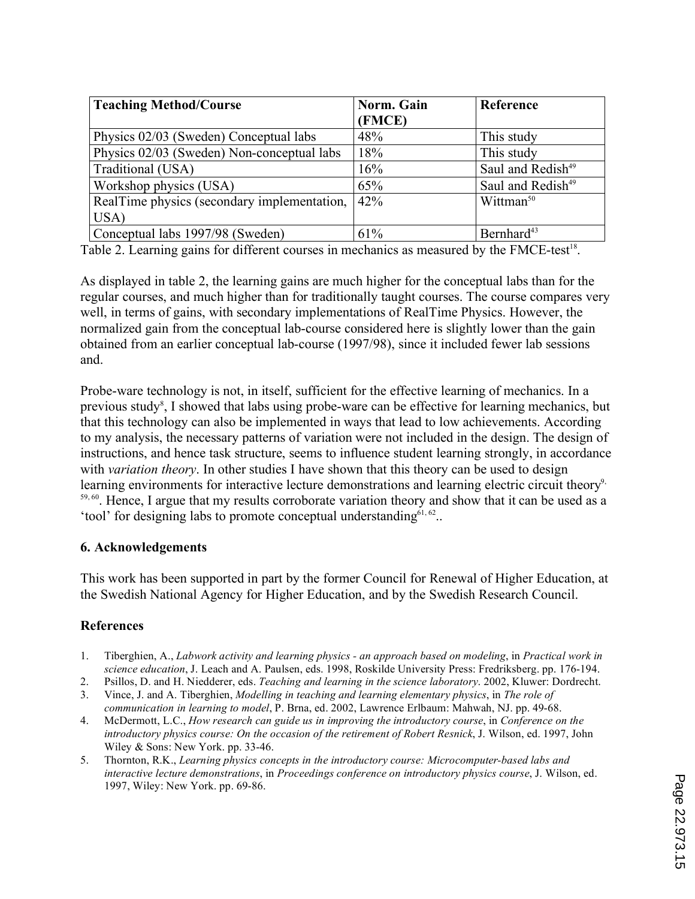| <b>Teaching Method/Course</b>               | Norm. Gain<br>(FMCE) | Reference                     |
|---------------------------------------------|----------------------|-------------------------------|
| Physics 02/03 (Sweden) Conceptual labs      | 48%                  | This study                    |
| Physics 02/03 (Sweden) Non-conceptual labs  | 18%                  | This study                    |
| Traditional (USA)                           | 16%                  | Saul and Redish <sup>49</sup> |
| Workshop physics (USA)                      | 65%                  | Saul and Redish <sup>49</sup> |
| RealTime physics (secondary implementation, | 42%                  | Wittman <sup>50</sup>         |
| USA)                                        |                      |                               |
| Conceptual labs 1997/98 (Sweden)            | 61%                  | Bernhard <sup>43</sup>        |

Table 2. Learning gains for different courses in mechanics as measured by the FMCE-test<sup>18</sup>.

As displayed in table 2, the learning gains are much higher for the conceptual labs than for the regular courses, and much higher than for traditionally taught courses. The course compares very well, in terms of gains, with secondary implementations of RealTime Physics. However, the normalized gain from the conceptual lab-course considered here is slightly lower than the gain obtained from an earlier conceptual lab-course (1997/98), since it included fewer lab sessions and.

Probe-ware technology is not, in itself, sufficient for the effective learning of mechanics. In a previous study<sup>8</sup>, I showed that labs using probe-ware can be effective for learning mechanics, but that this technology can also be implemented in ways that lead to low achievements. According to my analysis, the necessary patterns of variation were not included in the design. The design of instructions, and hence task structure, seems to influence student learning strongly, in accordance with *variation theory*. In other studies I have shown that this theory can be used to design learning environments for interactive lecture demonstrations and learning electric circuit theory<sup>9,</sup> 59, 60. Hence, I argue that my results corroborate variation theory and show that it can be used as a 'tool' for designing labs to promote conceptual understanding $61, 62$ ..

#### **6. Acknowledgements**

This work has been supported in part by the former Council for Renewal of Higher Education, at the Swedish National Agency for Higher Education, and by the Swedish Research Council.

## **References**

- 1. Tiberghien, A., *Labwork activity and learning physics an approach based on modeling*, in *Practical work in science education*, J. Leach and A. Paulsen, eds. 1998, Roskilde University Press: Fredriksberg. pp. 176-194.
- 2. Psillos, D. and H. Niedderer, eds. *Teaching and learning in the science laboratory*. 2002, Kluwer: Dordrecht.
- 3. Vince, J. and A. Tiberghien, *Modelling in teaching and learning elementary physics*, in *The role of communication in learning to model*, P. Brna, ed. 2002, Lawrence Erlbaum: Mahwah, NJ. pp. 49-68.
- 4. McDermott, L.C., *How research can guide us in improving the introductory course*, in *Conference on the introductory physics course: On the occasion of the retirement of Robert Resnick*, J. Wilson, ed. 1997, John Wiley & Sons: New York. pp. 33-46.
- 5. Thornton, R.K., *Learning physics concepts in the introductory course: Microcomputer-based labs and interactive lecture demonstrations*, in *Proceedings conference on introductory physics course*, J. Wilson, ed. 1997, Wiley: New York. pp. 69-86.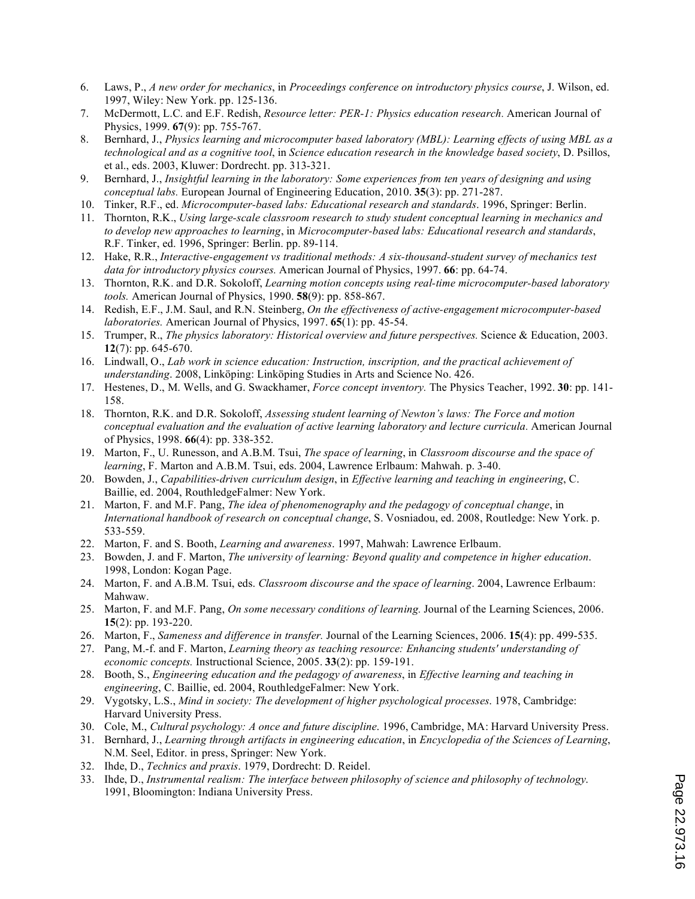- 6. Laws, P., *A new order for mechanics*, in *Proceedings conference on introductory physics course*, J. Wilson, ed. 1997, Wiley: New York. pp. 125-136.
- 7. McDermott, L.C. and E.F. Redish, *Resource letter: PER-1: Physics education research.* American Journal of Physics, 1999. **67**(9): pp. 755-767.
- 8. Bernhard, J., *Physics learning and microcomputer based laboratory (MBL): Learning effects of using MBL as a technological and as a cognitive tool*, in *Science education research in the knowledge based society*, D. Psillos, et al., eds. 2003, Kluwer: Dordrecht. pp. 313-321.
- 9. Bernhard, J., *Insightful learning in the laboratory: Some experiences from ten years of designing and using conceptual labs.* European Journal of Engineering Education, 2010. **35**(3): pp. 271-287.
- 10. Tinker, R.F., ed. *Microcomputer-based labs: Educational research and standards*. 1996, Springer: Berlin.
- 11. Thornton, R.K., *Using large-scale classroom research to study student conceptual learning in mechanics and to develop new approaches to learning*, in *Microcomputer-based labs: Educational research and standards*, R.F. Tinker, ed. 1996, Springer: Berlin. pp. 89-114.
- 12. Hake, R.R., *Interactive-engagement vs traditional methods: A six-thousand-student survey of mechanics test data for introductory physics courses.* American Journal of Physics, 1997. **66**: pp. 64-74.
- 13. Thornton, R.K. and D.R. Sokoloff, *Learning motion concepts using real-time microcomputer-based laboratory tools.* American Journal of Physics, 1990. **58**(9): pp. 858-867.
- 14. Redish, E.F., J.M. Saul, and R.N. Steinberg, *On the effectiveness of active-engagement microcomputer-based laboratories.* American Journal of Physics, 1997. **65**(1): pp. 45-54.
- 15. Trumper, R., *The physics laboratory: Historical overview and future perspectives.* Science & Education, 2003. **12**(7): pp. 645-670.
- 16. Lindwall, O., *Lab work in science education: Instruction, inscription, and the practical achievement of understanding*. 2008, Linköping: Linköping Studies in Arts and Science No. 426.
- 17. Hestenes, D., M. Wells, and G. Swackhamer, *Force concept inventory.* The Physics Teacher, 1992. **30**: pp. 141- 158.
- 18. Thornton, R.K. and D.R. Sokoloff, *Assessing student learning of Newton's laws: The Force and motion conceptual evaluation and the evaluation of active learning laboratory and lecture curricula.* American Journal of Physics, 1998. **66**(4): pp. 338-352.
- 19. Marton, F., U. Runesson, and A.B.M. Tsui, *The space of learning*, in *Classroom discourse and the space of learning*, F. Marton and A.B.M. Tsui, eds. 2004, Lawrence Erlbaum: Mahwah. p. 3-40.
- 20. Bowden, J., *Capabilities-driven curriculum design*, in *Effective learning and teaching in engineering*, C. Baillie, ed. 2004, RouthledgeFalmer: New York.
- 21. Marton, F. and M.F. Pang, *The idea of phenomenography and the pedagogy of conceptual change*, in *International handbook of research on conceptual change*, S. Vosniadou, ed. 2008, Routledge: New York. p. 533-559.
- 22. Marton, F. and S. Booth, *Learning and awareness*. 1997, Mahwah: Lawrence Erlbaum.
- 23. Bowden, J. and F. Marton, *The university of learning: Beyond quality and competence in higher education*. 1998, London: Kogan Page.
- 24. Marton, F. and A.B.M. Tsui, eds. *Classroom discourse and the space of learning*. 2004, Lawrence Erlbaum: Mahwaw.
- 25. Marton, F. and M.F. Pang, *On some necessary conditions of learning.* Journal of the Learning Sciences, 2006. **15**(2): pp. 193-220.
- 26. Marton, F., *Sameness and difference in transfer.* Journal of the Learning Sciences, 2006. **15**(4): pp. 499-535.
- 27. Pang, M.-f. and F. Marton, *Learning theory as teaching resource: Enhancing students' understanding of economic concepts.* Instructional Science, 2005. **33**(2): pp. 159-191.
- 28. Booth, S., *Engineering education and the pedagogy of awareness*, in *Effective learning and teaching in engineering*, C. Baillie, ed. 2004, RouthledgeFalmer: New York.
- 29. Vygotsky, L.S., *Mind in society: The development of higher psychological processes*. 1978, Cambridge: Harvard University Press.
- 30. Cole, M., *Cultural psychology: A once and future discipline*. 1996, Cambridge, MA: Harvard University Press.
- 31. Bernhard, J., *Learning through artifacts in engineering education*, in *Encyclopedia of the Sciences of Learning*, N.M. Seel, Editor. in press, Springer: New York.
- 32. Ihde, D., *Technics and praxis*. 1979, Dordrecht: D. Reidel.
- 33. Ihde, D., *Instrumental realism: The interface between philosophy of science and philosophy of technology*. 1991, Bloomington: Indiana University Press.